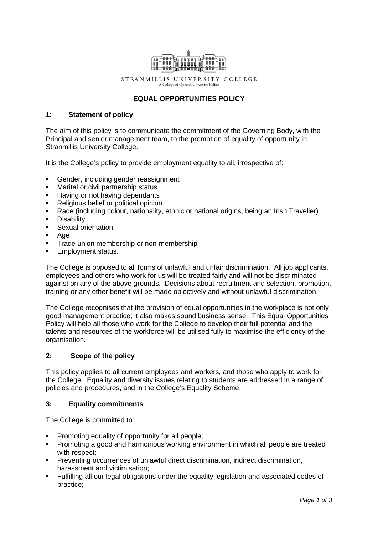

STRANMILLIS UNIVERSITY COLLEGE A College of Queen's University Belfast

# **EQUAL OPPORTUNITIES POLICY**

### **1: Statement of policy**

The aim of this policy is to communicate the commitment of the Governing Body, with the Principal and senior management team, to the promotion of equality of opportunity in Stranmillis University College.

It is the College's policy to provide employment equality to all, irrespective of:

- Gender, including gender reassignment
- Marital or civil partnership status
- **Having or not having dependants**
- Religious belief or political opinion
- Race (including colour, nationality, ethnic or national origins, being an Irish Traveller)
- Disability<br>• Sexual or
- Sexual orientation
- $Aq$ e
- **Trade union membership or non-membership**
- **Employment status.**

The College is opposed to all forms of unlawful and unfair discrimination. All job applicants, employees and others who work for us will be treated fairly and will not be discriminated against on any of the above grounds. Decisions about recruitment and selection, promotion, training or any other benefit will be made objectively and without unlawful discrimination.

The College recognises that the provision of equal opportunities in the workplace is not only good management practice; it also makes sound business sense. This Equal Opportunities Policy will help all those who work for the College to develop their full potential and the talents and resources of the workforce will be utilised fully to maximise the efficiency of the organisation.

## **2: Scope of the policy**

This policy applies to all current employees and workers, and those who apply to work for the College. Equality and diversity issues relating to students are addressed in a range of policies and procedures, and in the College's Equality Scheme.

#### **3: Equality commitments**

The College is committed to:

- **Promoting equality of opportunity for all people;**
- Promoting a good and harmonious working environment in which all people are treated with respect;
- Preventing occurrences of unlawful direct discrimination, indirect discrimination, harassment and victimisation;
- Fulfilling all our legal obligations under the equality legislation and associated codes of practice;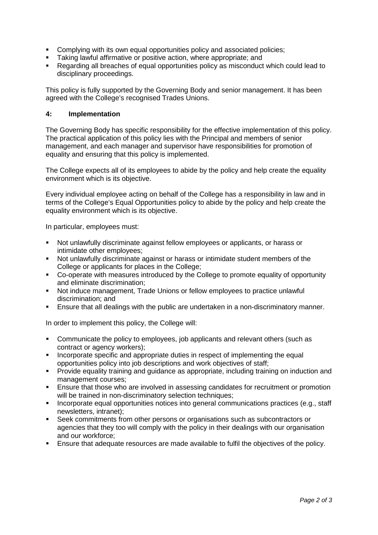- Complying with its own equal opportunities policy and associated policies;
- **Taking lawful affirmative or positive action, where appropriate; and**
- Regarding all breaches of equal opportunities policy as misconduct which could lead to disciplinary proceedings.

This policy is fully supported by the Governing Body and senior management. It has been agreed with the College's recognised Trades Unions.

## **4: Implementation**

The Governing Body has specific responsibility for the effective implementation of this policy. The practical application of this policy lies with the Principal and members of senior management, and each manager and supervisor have responsibilities for promotion of equality and ensuring that this policy is implemented.

The College expects all of its employees to abide by the policy and help create the equality environment which is its objective.

Every individual employee acting on behalf of the College has a responsibility in law and in terms of the College's Equal Opportunities policy to abide by the policy and help create the equality environment which is its objective.

In particular, employees must:

- Not unlawfully discriminate against fellow employees or applicants, or harass or intimidate other employees;
- Not unlawfully discriminate against or harass or intimidate student members of the College or applicants for places in the College;
- Co-operate with measures introduced by the College to promote equality of opportunity and eliminate discrimination;
- Not induce management, Trade Unions or fellow employees to practice unlawful discrimination; and
- Ensure that all dealings with the public are undertaken in a non-discriminatory manner.

In order to implement this policy, the College will:

- Communicate the policy to employees, job applicants and relevant others (such as contract or agency workers);
- Incorporate specific and appropriate duties in respect of implementing the equal opportunities policy into job descriptions and work objectives of staff;
- Provide equality training and guidance as appropriate, including training on induction and management courses;
- Ensure that those who are involved in assessing candidates for recruitment or promotion will be trained in non-discriminatory selection techniques;
- **Incorporate equal opportunities notices into general communications practices (e.g., staff** newsletters, intranet);
- Seek commitments from other persons or organisations such as subcontractors or agencies that they too will comply with the policy in their dealings with our organisation and our workforce;
- Ensure that adequate resources are made available to fulfil the objectives of the policy.